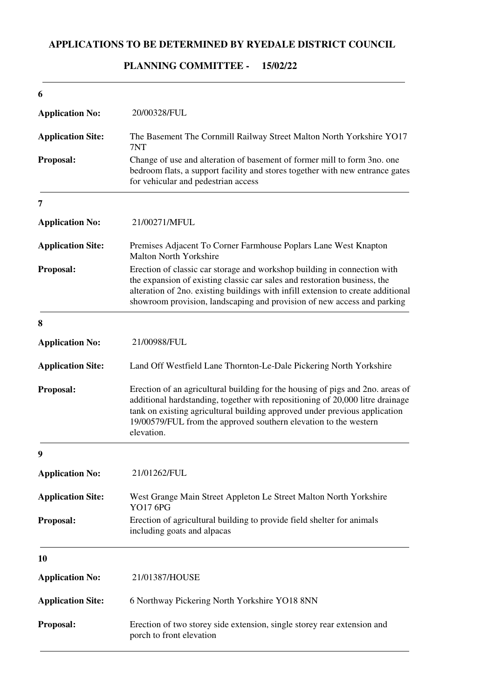### **APPLICATIONS TO BE DETERMINED BY RYEDALE DISTRICT COUNCIL**

## 20/00328/FUL Change of use and alteration of basement of former mill to form 3no. one bedroom flats, a support facility and stores together with new entrance gates for vehicular and pedestrian access **6 Application No: Proposal: Application Site:** The Basement The Cornmill Railway Street Malton North Yorkshire YO17 7NT 21/00271/MFUL Erection of classic car storage and workshop building in connection with the expansion of existing classic car sales and restoration business, the alteration of 2no. existing buildings with infill extension to create additional showroom provision, landscaping and provision of new access and parking **7 Application No: Proposal: Application Site:** Premises Adjacent To Corner Farmhouse Poplars Lane West Knapton Malton North Yorkshire 21/00988/FUL Erection of an agricultural building for the housing of pigs and 2no. areas of additional hardstanding, together with repositioning of 20,000 litre drainage tank on existing agricultural building approved under previous application 19/00579/FUL from the approved southern elevation to the western elevation. **8 Application No: Proposal: Application Site:** Land Off Westfield Lane Thornton-Le-Dale Pickering North Yorkshire 21/01262/FUL Erection of agricultural building to provide field shelter for animals including goats and alpacas **9 Application No: Proposal: Application Site:** West Grange Main Street Appleton Le Street Malton North Yorkshire YO17 6PG 21/01387/HOUSE Erection of two storey side extension, single storey rear extension and porch to front elevation **10 Application No: Proposal: Application Site:** 6 Northway Pickering North Yorkshire YO18 8NN

#### **15/02/22 PLANNING COMMITTEE -**